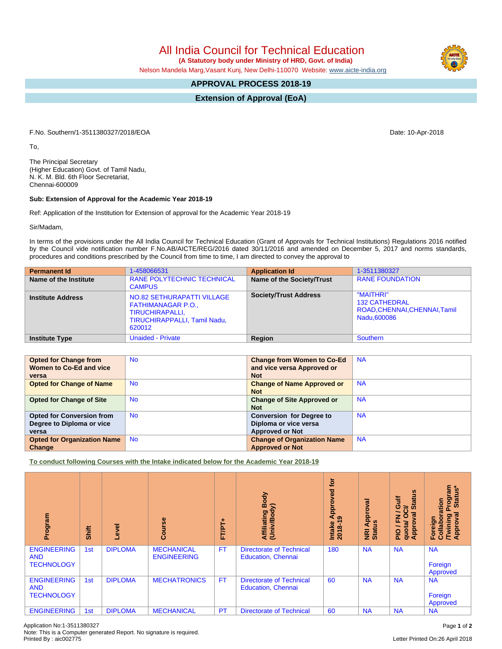## All India Council for Technical Education

 **(A Statutory body under Ministry of HRD, Govt. of India)**

Nelson Mandela Marg,Vasant Kunj, New Delhi-110070 Website: [www.aicte-india.org](http://www.aicte-india.org)

## **APPROVAL PROCESS 2018-19**

**Extension of Approval (EoA)**

F.No. Southern/1-3511380327/2018/EOA Date: 10-Apr-2018

To,

The Principal Secretary (Higher Education) Govt. of Tamil Nadu, N. K. M. Bld. 6th Floor Secretariat, Chennai-600009

## **Sub: Extension of Approval for the Academic Year 2018-19**

Ref: Application of the Institution for Extension of approval for the Academic Year 2018-19

Sir/Madam,

In terms of the provisions under the All India Council for Technical Education (Grant of Approvals for Technical Institutions) Regulations 2016 notified by the Council vide notification number F.No.AB/AICTE/REG/2016 dated 30/11/2016 and amended on December 5, 2017 and norms standards, procedures and conditions prescribed by the Council from time to time, I am directed to convey the approval to

| <b>Permanent Id</b>      | 1-458066531                                                                                                          | <b>Application Id</b>        | 1-3511380327                                                                      |
|--------------------------|----------------------------------------------------------------------------------------------------------------------|------------------------------|-----------------------------------------------------------------------------------|
| Name of the Institute    | <b>RANE POLYTECHNIC TECHNICAL</b><br><b>CAMPUS</b>                                                                   | Name of the Society/Trust    | <b>RANE FOUNDATION</b>                                                            |
| <b>Institute Address</b> | NO.82 SETHURAPATTI VILLAGE<br><b>FATHIMANAGAR P.O.,</b><br>TIRUCHIRAPALLI,<br>TIRUCHIRAPPALLI, Tamil Nadu,<br>620012 | <b>Society/Trust Address</b> | "MAITHRI"<br><b>132 CATHEDRAL</b><br>ROAD, CHENNAI, CHENNAI, Tamil<br>Nadu.600086 |
| <b>Institute Type</b>    | <b>Unaided - Private</b>                                                                                             | Region                       | Southern                                                                          |

| <b>Opted for Change from</b><br>Women to Co-Ed and vice<br>versa       | <b>No</b> | <b>Change from Women to Co-Ed</b><br>and vice versa Approved or<br><b>Not</b>      | <b>NA</b> |
|------------------------------------------------------------------------|-----------|------------------------------------------------------------------------------------|-----------|
| <b>Opted for Change of Name</b>                                        | <b>No</b> | <b>Change of Name Approved or</b><br><b>Not</b>                                    | <b>NA</b> |
| <b>Opted for Change of Site</b>                                        | <b>No</b> | <b>Change of Site Approved or</b><br><b>Not</b>                                    | <b>NA</b> |
| <b>Opted for Conversion from</b><br>Degree to Diploma or vice<br>versa | <b>No</b> | <b>Conversion for Degree to</b><br>Diploma or vice versa<br><b>Approved or Not</b> | <b>NA</b> |
| <b>Opted for Organization Name</b><br>Change                           | <b>No</b> | <b>Change of Organization Name</b><br><b>Approved or Not</b>                       | <b>NA</b> |

**To conduct following Courses with the Intake indicated below for the Academic Year 2018-19**

| Program                                               | Shift | <b>level</b>   | rse<br>ပ္ပြ                             | 广<br>FTPT+ | Body<br>ody)<br>Affiliating<br>(Univ/Body                    | <b>b</b><br>ved<br>ppro<br>₹<br>െ<br><b>Intake</b><br>2018-19 | ζā<br>Approv<br><b>NRI Ap</b><br>Status | 9<br>Gulf<br>ā<br>≃<br>$\omega$<br>∽.<br>त्त<br>o<br>준<br><b>Appro</b><br>quota/<br>$\frac{1}{2}$ | rogram<br>Status*<br>ation<br>हु<br>Twining<br>Approval<br>$\circ$<br>Foreign<br>Colla |
|-------------------------------------------------------|-------|----------------|-----------------------------------------|------------|--------------------------------------------------------------|---------------------------------------------------------------|-----------------------------------------|---------------------------------------------------------------------------------------------------|----------------------------------------------------------------------------------------|
| <b>ENGINEERING</b><br><b>AND</b><br><b>TECHNOLOGY</b> | 1st   | <b>DIPLOMA</b> | <b>MECHANICAL</b><br><b>ENGINEERING</b> | <b>FT</b>  | <b>Directorate of Technical</b><br><b>Education, Chennai</b> | 180                                                           | <b>NA</b>                               | <b>NA</b>                                                                                         | <b>NA</b><br>Foreign<br>Approved                                                       |
| <b>ENGINEERING</b><br><b>AND</b><br><b>TECHNOLOGY</b> | 1st   | <b>DIPLOMA</b> | <b>MECHATRONICS</b>                     | <b>FT</b>  | <b>Directorate of Technical</b><br><b>Education, Chennai</b> | 60                                                            | <b>NA</b>                               | <b>NA</b>                                                                                         | <b>NA</b><br>Foreign<br>Approved                                                       |
| <b>ENGINEERING</b>                                    | 1st   | <b>DIPLOMA</b> | <b>MECHANICAL</b>                       | PT         | <b>Directorate of Technical</b>                              | 60                                                            | <b>NA</b>                               | <b>NA</b>                                                                                         | <b>NA</b>                                                                              |